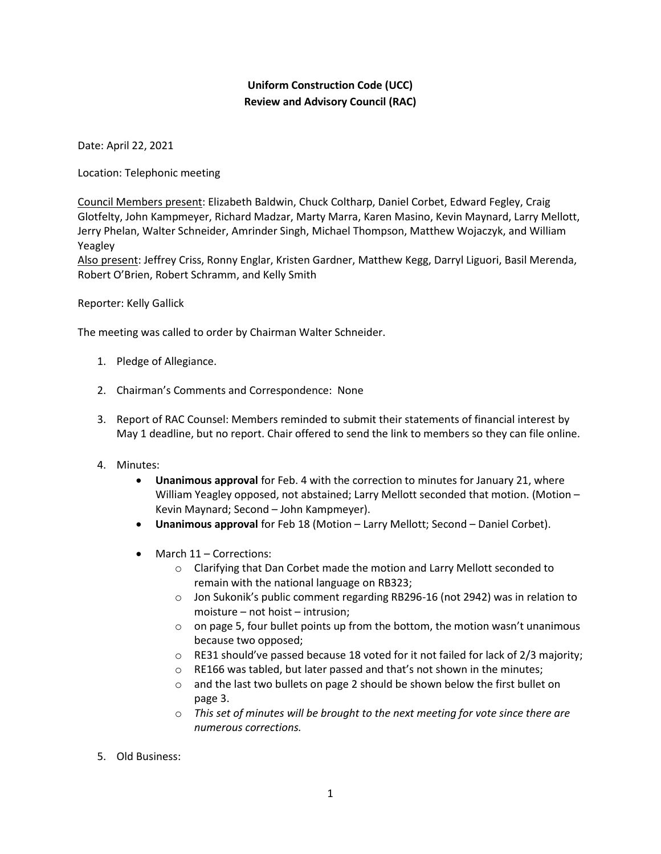## **Uniform Construction Code (UCC) Review and Advisory Council (RAC)**

Date: April 22, 2021

Location: Telephonic meeting

Council Members present: Elizabeth Baldwin, Chuck Coltharp, Daniel Corbet, Edward Fegley, Craig Glotfelty, John Kampmeyer, Richard Madzar, Marty Marra, Karen Masino, Kevin Maynard, Larry Mellott, Jerry Phelan, Walter Schneider, Amrinder Singh, Michael Thompson, Matthew Wojaczyk, and William Yeagley

Also present: Jeffrey Criss, Ronny Englar, Kristen Gardner, Matthew Kegg, Darryl Liguori, Basil Merenda, Robert O'Brien, Robert Schramm, and Kelly Smith

Reporter: Kelly Gallick

The meeting was called to order by Chairman Walter Schneider.

- 1. Pledge of Allegiance.
- 2. Chairman's Comments and Correspondence: None
- 3. Report of RAC Counsel: Members reminded to submit their statements of financial interest by May 1 deadline, but no report. Chair offered to send the link to members so they can file online.
- 4. Minutes:
	- **Unanimous approval** for Feb. 4 with the correction to minutes for January 21, where William Yeagley opposed, not abstained; Larry Mellott seconded that motion. (Motion – Kevin Maynard; Second – John Kampmeyer).
	- **Unanimous approval** for Feb 18 (Motion Larry Mellott; Second Daniel Corbet).
	- March 11 Corrections:
		- o Clarifying that Dan Corbet made the motion and Larry Mellott seconded to remain with the national language on RB323;
		- o Jon Sukonik's public comment regarding RB296-16 (not 2942) was in relation to moisture – not hoist – intrusion;
		- $\circ$  on page 5, four bullet points up from the bottom, the motion wasn't unanimous because two opposed;
		- $\circ$  RE31 should've passed because 18 voted for it not failed for lack of 2/3 majority;
		- o RE166 was tabled, but later passed and that's not shown in the minutes;
		- $\circ$  and the last two bullets on page 2 should be shown below the first bullet on page 3.
		- o *This set of minutes will be brought to the next meeting for vote since there are numerous corrections.*
- 5. Old Business: